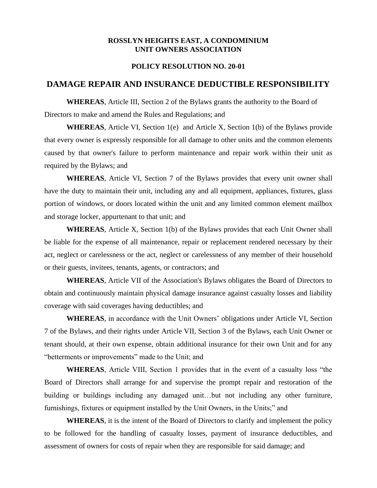## **ROSSLYN HEIGHTS EAST, A CONDOMINIUM UNIT OWNERS ASSOCIATION**

## **POLICY RESOLUTION NO. 20-01**

## **DAMAGE REPAIR AND INSURANCE DEDUCTIBLE RESPONSIBILITY**

**WHEREAS**, Article III, Section 2 of the Bylaws grants the authority to the Board of Directors to make and amend the Rules and Regulations; and

**WHEREAS**, Article VI, Section 1(e) and Article X, Section 1(b) of the Bylaws provide that every owner is expressly responsible for all damage to other units and the common elements caused by that owner's failure to perform maintenance and repair work within their unit as required by the Bylaws; and

**WHEREAS**, Article VI, Section 7 of the Bylaws provides that every unit owner shall have the duty to maintain their unit, including any and all equipment, appliances, fixtures, glass portion of windows, or doors located within the unit and any limited common element mailbox and storage locker, appurtenant to that unit; and

**WHEREAS**, Article X, Section 1(b) of the Bylaws provides that each Unit Owner shall be liable for the expense of all maintenance, repair or replacement rendered necessary by their act, neglect or carelessness or the act, neglect or carelessness of any member of their household or their guests, invitees, tenants, agents, or contractors; and

**WHEREAS**, Article VII of the Association's Bylaws obligates the Board of Directors to obtain and continuously maintain physical damage insurance against casualty losses and liability coverage with said coverages having deductibles; and

**WHEREAS**, in accordance with the Unit Owners' obligations under Article VI, Section 7 of the Bylaws, and their rights under Article VII, Section 3 of the Bylaws, each Unit Owner or tenant should, at their own expense, obtain additional insurance for their own Unit and for any "betterments or improvements" made to the Unit; and

**WHEREAS**, Article VIII, Section 1 provides that in the event of a casualty loss "the Board of Directors shall arrange for and supervise the prompt repair and restoration of the building or buildings including any damaged unit…but not including any other furniture, furnishings, fixtures or equipment installed by the Unit Owners, in the Units;" and

**WHEREAS**, it is the intent of the Board of Directors to clarify and implement the policy to be followed for the handling of casualty losses, payment of insurance deductibles, and assessment of owners for costs of repair when they are responsible for said damage; and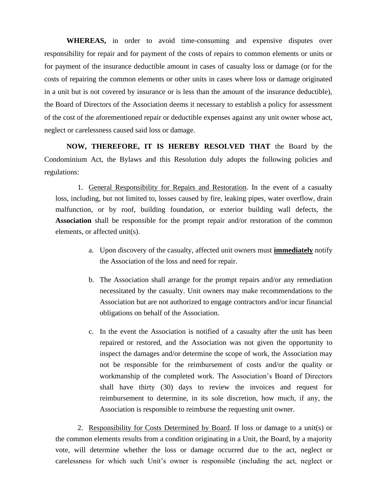**WHEREAS,** in order to avoid time-consuming and expensive disputes over responsibility for repair and for payment of the costs of repairs to common elements or units or for payment of the insurance deductible amount in cases of casualty loss or damage (or for the costs of repairing the common elements or other units in cases where loss or damage originated in a unit but is not covered by insurance or is less than the amount of the insurance deductible), the Board of Directors of the Association deems it necessary to establish a policy for assessment of the cost of the aforementioned repair or deductible expenses against any unit owner whose act, neglect or carelessness caused said loss or damage.

**NOW, THEREFORE, IT IS HEREBY RESOLVED THAT** the Board by the Condominium Act, the Bylaws and this Resolution duly adopts the following policies and regulations:

1. General Responsibility for Repairs and Restoration. In the event of a casualty loss, including, but not limited to, losses caused by fire, leaking pipes, water overflow, drain malfunction, or by roof, building foundation, or exterior building wall defects, the **Association** shall be responsible for the prompt repair and/or restoration of the common elements, or affected unit(s).

- a. Upon discovery of the casualty, affected unit owners must **immediately** notify the Association of the loss and need for repair.
- b. The Association shall arrange for the prompt repairs and/or any remediation necessitated by the casualty. Unit owners may make recommendations to the Association but are not authorized to engage contractors and/or incur financial obligations on behalf of the Association.
- c. In the event the Association is notified of a casualty after the unit has been repaired or restored, and the Association was not given the opportunity to inspect the damages and/or determine the scope of work, the Association may not be responsible for the reimbursement of costs and/or the quality or workmanship of the completed work. The Association's Board of Directors shall have thirty (30) days to review the invoices and request for reimbursement to determine, in its sole discretion, how much, if any, the Association is responsible to reimburse the requesting unit owner.

2. Responsibility for Costs Determined by Board. If loss or damage to a unit(s) or the common elements results from a condition originating in a Unit, the Board, by a majority vote, will determine whether the loss or damage occurred due to the act, neglect or carelessness for which such Unit's owner is responsible (including the act, neglect or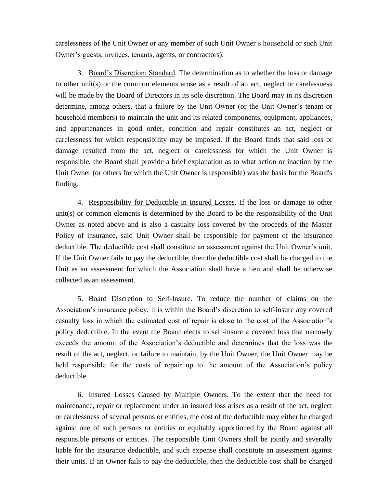carelessness of the Unit Owner or any member of such Unit Owner's household or such Unit Owner's guests, invitees, tenants, agents, or contractors).

3. Board's Discretion; Standard. The determination as to whether the loss or damage to other unit(s) or the common elements arose as a result of an act, neglect or carelessness will be made by the Board of Directors in its sole discretion. The Board may in its discretion determine, among others*,* that a failure by the Unit Owner (or the Unit Owner's tenant or household members) to maintain the unit and its related components, equipment, appliances, and appurtenances in good order, condition and repair constitutes an act, neglect or carelessness for which responsibility may be imposed. If the Board finds that said loss or damage resulted from the act, neglect or carelessness for which the Unit Owner is responsible, the Board shall provide a brief explanation as to what action or inaction by the Unit Owner (or others for which the Unit Owner is responsible) was the basis for the Board's finding.

4. Responsibility for Deductible in Insured Losses. If the loss or damage to other unit(s) or common elements is determined by the Board to be the responsibility of the Unit Owner as noted above and is also a casualty loss covered by the proceeds of the Master Policy of insurance, said Unit Owner shall be responsible for payment of the insurance deductible. The deductible cost shall constitute an assessment against the Unit Owner's unit. If the Unit Owner fails to pay the deductible, then the deductible cost shall be charged to the Unit as an assessment for which the Association shall have a lien and shall be otherwise collected as an assessment.

5. Board Discretion to Self-Insure. To reduce the number of claims on the Association's insurance policy, it is within the Board's discretion to self-insure any covered casualty loss in which the estimated cost of repair is close to the cost of the Association's policy deductible. In the event the Board elects to self-insure a covered loss that narrowly exceeds the amount of the Association's deductible and determines that the loss was the result of the act, neglect, or failure to maintain, by the Unit Owner, the Unit Owner may be held responsible for the costs of repair up to the amount of the Association's policy deductible.

6. Insured Losses Caused by Multiple Owners. To the extent that the need for maintenance, repair or replacement under an insured loss arises as a result of the act, neglect or carelessness of several persons or entities, the cost of the deductible may either be charged against one of such persons or entities or equitably apportioned by the Board against all responsible persons or entities. The responsible Unit Owners shall be jointly and severally liable for the insurance deductible, and such expense shall constitute an assessment against their units. If an Owner fails to pay the deductible, then the deductible cost shall be charged